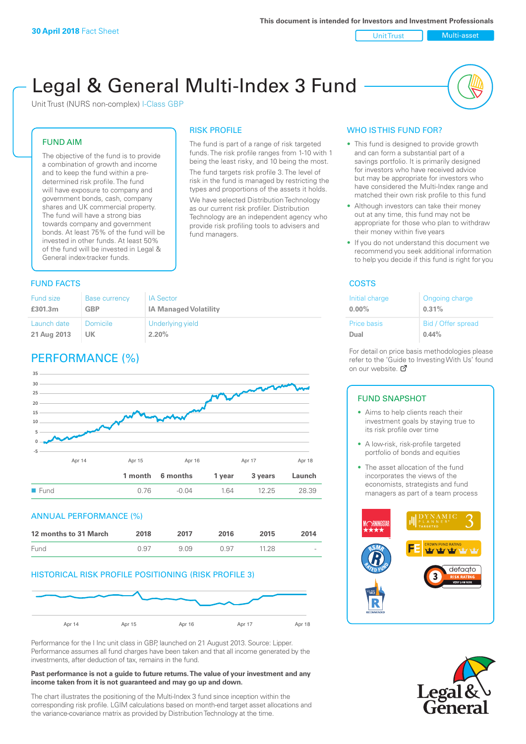Unit Trust Nulti-asset

# Legal & General Multi-Index 3 Fund

RISK PROFILE

fund managers.

The fund is part of a range of risk targeted funds. The risk profile ranges from 1-10 with 1 being the least risky, and 10 being the most. The fund targets risk profile 3. The level of risk in the fund is managed by restricting the types and proportions of the assets it holds. We have selected Distribution Technology as our current risk profiler. Distribution Technology are an independent agency who provide risk profiling tools to advisers and

Unit Trust (NURS non-complex) I-Class GBP

#### FUND AIM

The objective of the fund is to provide a combination of growth and income and to keep the fund within a predetermined risk profile. The fund will have exposure to company and government bonds, cash, company shares and UK commercial property. The fund will have a strong bias towards company and government bonds. At least 75% of the fund will be invested in other funds. At least 50% of the fund will be invested in Legal & General index-tracker funds.

### **FUND FACTS** COSTS

#### Fund size **£301.3m** Base currency **GBP** IA Sector **IA Managed Volatility** Launch date **21 Aug 2013** Domicile **UK** Underlying yield **2.20%**

## PERFORMANCE (%)



#### ANNUAL PERFORMANCE (%)

| 12 months to 31 March | 2018 | 2017 | 2016 | 2015  | 2014   |
|-----------------------|------|------|------|-------|--------|
| Fund                  | 0.97 | 909  | O 97 | 11.28 | $\sim$ |

#### HISTORICAL RISK PROFILE POSITIONING (RISK PROFILE 3)



Performance for the I Inc unit class in GBP, launched on 21 August 2013. Source: Lipper. Performance assumes all fund charges have been taken and that all income generated by the investments, after deduction of tax, remains in the fund.

#### **Past performance is not a guide to future returns. The value of your investment and any income taken from it is not guaranteed and may go up and down.**

The chart illustrates the positioning of the Multi-Index 3 fund since inception within the corresponding risk profile. LGIM calculations based on month-end target asset allocations and the variance-covariance matrix as provided by Distribution Technology at the time.

#### WHO IS THIS FUND FOR?

- This fund is designed to provide growth and can form a substantial part of a savings portfolio. It is primarily designed for investors who have received advice but may be appropriate for investors who have considered the Multi-Index range and matched their own risk profile to this fund
- Although investors can take their money out at any time, this fund may not be appropriate for those who plan to withdraw their money within five years
- If you do not understand this document we recommend you seek additional information to help you decide if this fund is right for you

| Initial charge     | Ongoing charge     |
|--------------------|--------------------|
| $0.00\%$           | 0.31%              |
| <b>Price basis</b> | Bid / Offer spread |
| Dual               | 0.44%              |

For detail on price basis methodologies please refer to the 'Gu[ide t](http://www.legalandgeneral.com/guide)o Investing With Us' found on our website. Ø

#### FUND SNAPSHOT

- Aims to help clients reach their investment goals by staying true to its risk profile over time
- A low-risk, risk-profile targeted portfolio of bonds and equities
- The asset allocation of the fund incorporates the views of the economists, strategists and fund managers as part of a team process



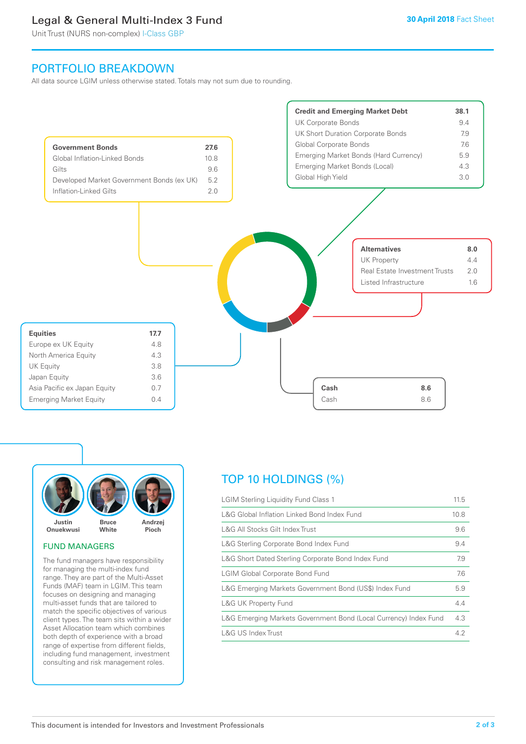### Legal & General Multi-Index 3 Fund

Unit Trust (NURS non-complex) I-Class GBP

### PORTFOLIO BREAKDOWN

All data source LGIM unless otherwise stated. Totals may not sum due to rounding.





#### FUND MANAGERS

The fund managers have responsibility for managing the multi-index fund range. They are part of the Multi-Asset Funds (MAF) team in LGIM. This team focuses on designing and managing multi-asset funds that are tailored to match the specific objectives of various client types. The team sits within a wider Asset Allocation team which combines both depth of experience with a broad range of expertise from different fields, including fund management, investment consulting and risk management roles.

## TOP 10 HOLDINGS (%)

| <b>LGIM Sterling Liquidity Fund Class 1</b>                      | 11.5 |
|------------------------------------------------------------------|------|
| L&G Global Inflation Linked Bond Index Fund                      | 10.8 |
| L&G All Stocks Gilt Index Trust                                  | 9.6  |
| L&G Sterling Corporate Bond Index Fund                           | 9.4  |
| L&G Short Dated Sterling Corporate Bond Index Fund               | 7.9  |
| <b>LGIM Global Corporate Bond Fund</b>                           | 7.6  |
| L&G Emerging Markets Government Bond (US\$) Index Fund           | 5.9  |
| <b>L&amp;G UK Property Fund</b>                                  | 4.4  |
| L&G Emerging Markets Government Bond (Local Currency) Index Fund | 4.3  |
| <b>L&amp;G US Index Trust</b>                                    | 4.2  |